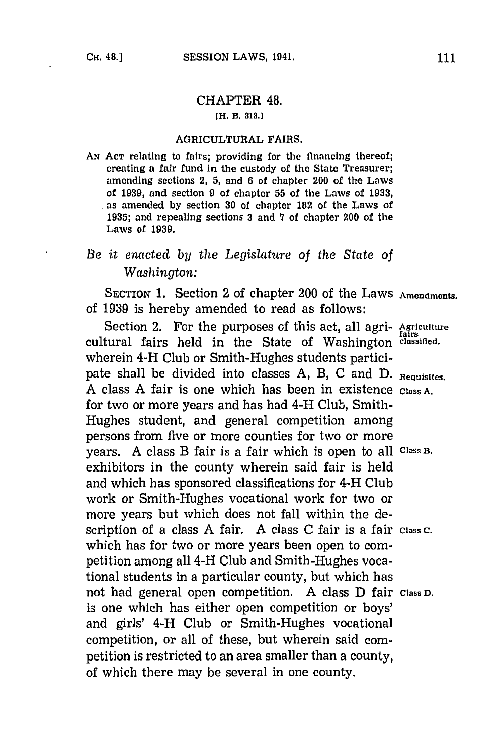## CHAPTER 48. **[H. B. 313.J**

## **AGRICULTURAL FAIRS.**

**AN ACT** relating to fairs; providing for the financing thereof; creating a fair fund in the custody of the State Treasurer; amending sections 2, **5,** and **6** of chapter 200 of the Laws of **1939,** and section **9** of chapter **55** of the Laws of **1933,** as amended **by** section **30** of chapter 182 of the Laws of **1935;** and repealing sections **3** and **7** of chapter 200 of the Laws of **1939.**

## *Be it enacted by the Legislature of the State of Washington:*

SECTION 1. Section 2 of chapter 200 of the Laws Amendments. of **1939** is hereby amended to read as follows:

Section 2. For the purposes of this act, all agri- Agriculture cultural fairs held in the State of Washington **classified.** wherein 4-H Club or Smith-Hughes students participate shall be divided into classes **A,** B, **C** and **D. Requisites. A** class **A** fair is one which has been in existence **Class A.** for two or more years and has had 4-H Club, Smith-Hughes student, and general competition among persons from five or more counties for two or more years. **A** class B fair is a fair which is open to all **Class B.** exhibitors in the county wherein said fair is held and which has sponsored classifications for 4-H Club work or Smith-Hughes vocational work for two or more years but which does not fall within the description of a class **A** fair. **A** class **C** fair is a fair **class** c. which has for two or more years been open to competition among all 4-H Club and Smith-Hughes vocational students in a particular county, but which has not had general open competition. **A** class **D** fair **Class D.** is one which has either open competition or boys' and girls' 4-H Club or Smith-Hughes vocational competition, or all of these, but wherein said competition is restricted to an area smaller than a county, of which there may be several in one county.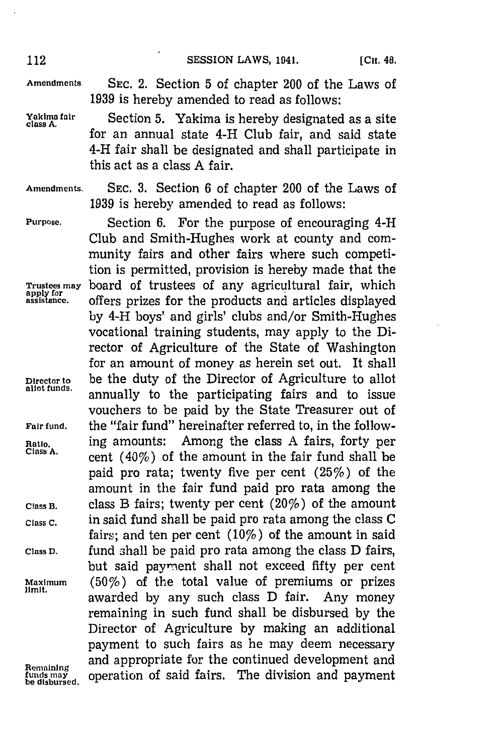**Amendments. SEC.** 2. Section **5** of chapter 200 of the Laws of **1939** is hereby amended to read as follows:

**Yakima** *fair* Section **5.** Yakima is hereby designated as a site **class A.** for an annual state 4-H Club fair, and said state 4-H fair shall be designated and shall participate in this act as a class **A** fair.

**Amendments. SEC. 3.** Section **6** of chapter 200 of the Laws of **1939** is hereby amended to read as follows:

**Purpose.** Section **6.** For the purpose of encouraging 4-H Club and Smith-Hughes work at county and community fairs and other fairs where such competition is permitted, provision is hereby made that the **Trustees may** board of trustees of any agricultural fair, which **assistance** offers prizes for the products and articles displayed by 4-H boys' and girls' clubs and/or Smith-Hughes vocational training students, may apply to the Director of Agriculture of the State of Washington for an amount of money as herein set out. It shall **Director to** be the duty of the Director of Agriculture to allot annually to the participating fairs and to issue vouchers to be paid **by** the State Treasurer out of **Fair fund,** the "fair fund" hereinafter referred to, in the follow-**Ratio,** ing amounts: Among the class **A** fairs, forty per cent (40%) of the amount in the fair fund shall be paid pro rata; twenty five per cent (25%) of the amount in the fair fund paid pro rata among the **Class B.** class B fairs; twenty per cent (20%) of the amount **Class C.** in said fund shall be paid pro rata among the class **C** fairs; and ten per cent (10%) of the amount in said **Class D.** fund shall be paid pro rata among the class **D** fairs, but said payment shall not exceed fifty per cent **Maximum** (50%) of the total value of premiums or prizes limit. awarded **by** any such class **D** fair. Any money remaining in such fund shall be disbursed **by** the Director of Agriculture **by** making an additional payment to such fairs as he may deem necessary Remaining and appropriate for the continued development and<br>funds may operation of said fairs. The division and payment **operation of said fairs. The division and payment**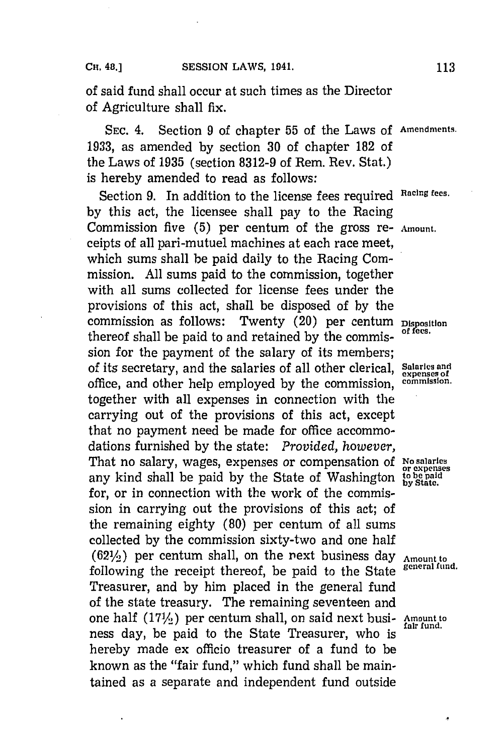of said fund shall occur at such times as the Director of Agriculture shall fix.

**SEC.** 4. Section **9** of chapter **55** of the Laws **of Amendments. 1933,** as amended **by** section **30** of chapter **182** of the Laws of **1935** (section **8312-9** of Rem. Rev. Stat.) is hereby amended to read as follows:

Section **9.** In addition to the license fees required **Racing fees. by** this act, the licensee shall pay to the Racing Commission five **(5)** per centum of the gross re- **Amiount.** ceipts of all pari-mutuel machines at each race meet, which sums shall be paid daily to the Racing Commission. **All** sums paid to the commission, together with all sums collected for license fees under the provisions of this act, shall be disposed of **by** the commission as follows: Twenty (20) per centum **Disposition** thereof shall be paid to and retained **by** the commis- **of fees.** sion for the payment of the salary of its members; of its secretary, and the salaries of all other clerical, **Salaries and** office, and other help employed **by** the commission, **commission.** together with all expenses in connection with the carrying out of the provisions of this act, except that no payment need be made for office accommodations furnished **by** the state: *Provided, however,* That no salary, wages, expenses or compensation of **No salaries or expenses** any kind shall be paid **by** the State of Washington **to be paid** for, or in connection with the work of the commission in carrying out the provisions of this act; of the remaining eighty **(80)** per centum. of all sums collected **by** the commission sixty-two and one half  $(62\frac{1}{2})$  per centum shall, on the next business day  $\Delta$ <sub>Amount to</sub>  $\Delta$  following the negative theorem fund. following the receipt thereof, be paid to the State Treasurer, and **by** him placed in the general fund of the state treasury. The remaining seventeen and one half (17<sup>1</sup>/<sub>2</sub>) per centum shall, on said next busi- Amount to ness day, be paid to the State Treasurer, who is hereby made ex officio treasurer of a fund to be known as the "fair fund," which fund shall be maintained as a separate and independent fund outside

**expenses of**